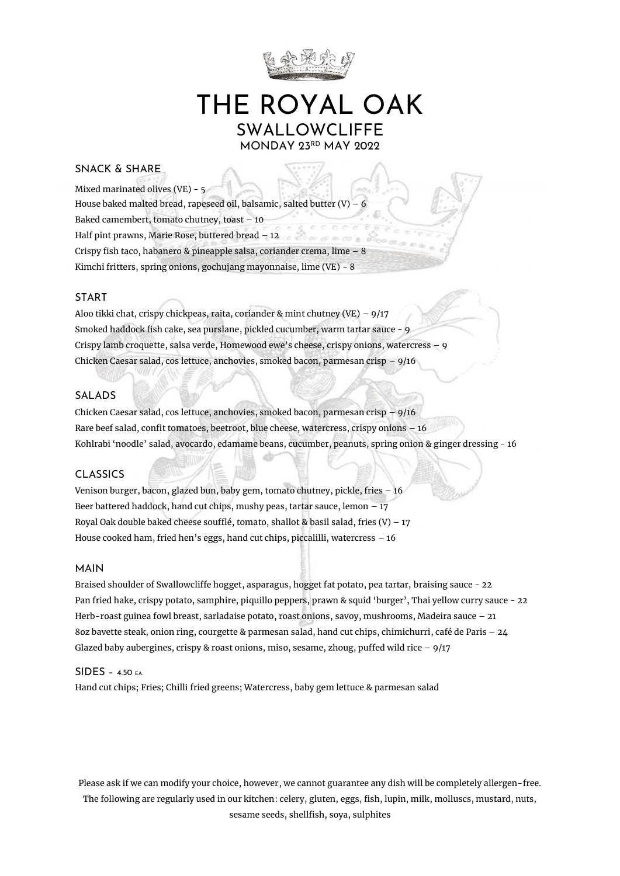

# THE ROYAL OAK SWALLOWCLIFFE MONDAY 23RD MAY 2022

## SNACK & SHARE

Mixed marinated olives (VE) - 5 House baked malted bread, rapeseed oil, balsamic, salted butter (V) Baked camembert, tomato chutney, toast – 10 Half pint prawns, Marie Rose, buttered bread – 12 Crispy fish taco, habanero & pineapple salsa, coriander crema, lime – 8 Kimchi fritters, spring onions, gochujang mayonnaise, lime (VE) - 8

#### START

Aloo tikki chat, crispy chickpeas, raita, coriander & mint chutney (VE) –  $9/17$ Smoked haddock fish cake, sea purslane, pickled cucumber, warm tartar sauce - 9 Crispy lamb croquette, salsa verde, Homewood ewe's cheese, crispy onions, watercress – 9 Chicken Caesar salad, cos lettuce, anchovies, smoked bacon, parmesan crisp – 9/16

#### SALADS

Chicken Caesar salad, cos lettuce, anchovies, smoked bacon, parmesan crisp – 9/16 Rare beef salad, confit tomatoes, beetroot, blue cheese, watercress, crispy onions – 16 Kohlrabi 'noodle' salad, avocardo, edamame beans, cucumber, peanuts, spring onion & ginger dressing - 16

#### CLASSICS

Venison burger, bacon, glazed bun, baby gem, tomato chutney, pickle, fries – 16 Beer battered haddock, hand cut chips, mushy peas, tartar sauce, lemon – 17 Royal Oak double baked cheese soufflé, tomato, shallot & basil salad, fries  $(V)$  – 17 House cooked ham, fried hen's eggs, hand cut chips, piccalilli, watercress – 16

### MAIN

Braised shoulder of Swallowcliffe hogget, asparagus, hogget fat potato, pea tartar, braising sauce - 22 Pan fried hake, crispy potato, samphire, piquillo peppers, prawn & squid 'burger', Thai yellow curry sauce - 22 Herb-roast guinea fowl breast, sarladaise potato, roast onions, savoy, mushrooms, Madeira sauce – 21 8oz bavette steak, onion ring, courgette & parmesan salad, hand cut chips, chimichurri, café de Paris – 24 Glazed baby aubergines, crispy & roast onions, miso, sesame, zhoug, puffed wild rice  $-9/17$ 

#### SIDES – 4.50 EA.

Hand cut chips; Fries; Chilli fried greens; Watercress, baby gem lettuce & parmesan salad

Please ask if we can modify your choice, however, we cannot guarantee any dish will be completely allergen-free. The following are regularly used in our kitchen: celery, gluten, eggs, fish, lupin, milk, molluscs, mustard, nuts, sesame seeds, shellfish, soya, sulphites